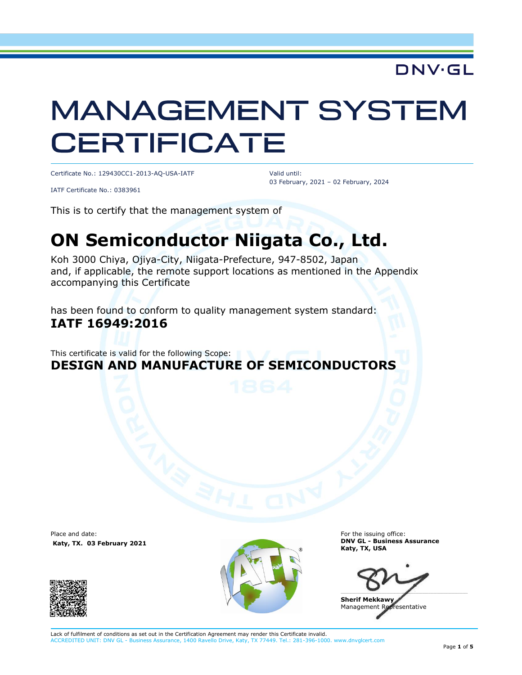## DNV·GL

# **MANAGEMENT SYSTEM CERTIFICATE**

Certificate No.: 129430CC1-2013-AQ-USA-IATF

Valid until: 03 February, 2021 – 02 February, 2024

IATF Certificate No.: 0383961

This is to certify that the management system of

## **ON Semiconductor Niigata Co., Ltd.**

Koh 3000 Chiya, Ojiya-City, Niigata-Prefecture, 947-8502, Japan and, if applicable, the remote support locations as mentioned in the Appendix accompanying this Certificate

has been found to conform to quality management system standard: **IATF 16949:2016**

This certificate is valid for the following Scope: **DESIGN AND MANUFACTURE OF SEMICONDUCTORS**

Place and date: **Katy, TX. 03 February 2021**





For the issuing office: **DNV GL - Business Assurance Katy, TX, USA**

 $\blacksquare$ 

**Sherif Mekkawy** Management Representative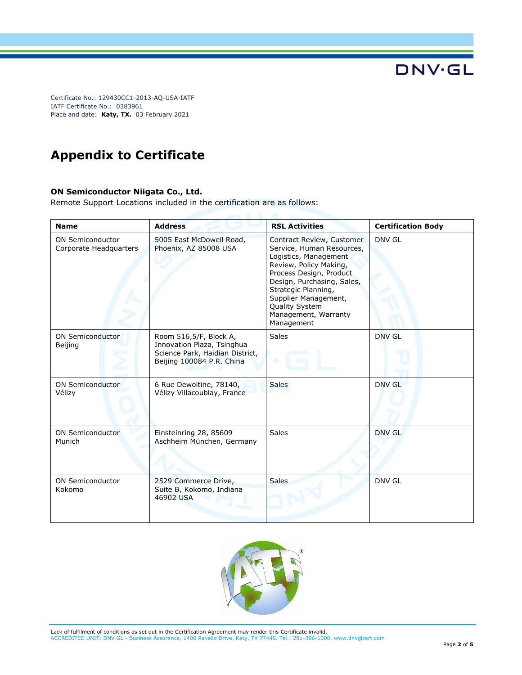## **Appendix to Certificate**

#### **ON Semiconductor Niigata Co., Ltd.**

Remote Support Locations included in the certification are as follows:

| <b>Name</b>                                       | <b>Address</b>                                                                                                       | <b>RSL Activities</b>                                                                                                                                                                                                                                                     | <b>Certification Body</b> |
|---------------------------------------------------|----------------------------------------------------------------------------------------------------------------------|---------------------------------------------------------------------------------------------------------------------------------------------------------------------------------------------------------------------------------------------------------------------------|---------------------------|
| <b>ON Semiconductor</b><br>Corporate Headquarters | 5005 East McDowell Road,<br>Phoenix, AZ 85008 USA                                                                    | Contract Review, Customer<br>Service, Human Resources,<br>Logistics, Management<br>Review, Policy Making,<br>Process Design, Product<br>Design, Purchasing, Sales,<br>Strategic Planning,<br>Supplier Management,<br>Quality System<br>Management, Warranty<br>Management | DNV GL                    |
| <b>ON Semiconductor</b><br>Beijing                | Room 516,5/F, Block A,<br>Innovation Plaza, Tsinghua<br>Science Park, Haidian District,<br>Beijing 100084 P.R. China | <b>Sales</b><br>ш                                                                                                                                                                                                                                                         | <b>DNV GL</b>             |
| <b>ON Semiconductor</b><br>Vélizy                 | 6 Rue Dewoitine, 78140,<br>Vélizy Villacoublay, France                                                               | <b>Sales</b>                                                                                                                                                                                                                                                              | <b>DNV GL</b>             |
| <b>ON Semiconductor</b><br>Munich                 | Einsteinring 28, 85609<br>Aschheim München, Germany                                                                  | Sales                                                                                                                                                                                                                                                                     | <b>DNV GL</b>             |
| <b>ON Semiconductor</b><br>Kokomo                 | 2529 Commerce Drive,<br>Suite B, Kokomo, Indiana<br>46902 USA                                                        | <b>Sales</b>                                                                                                                                                                                                                                                              | <b>DNV GL</b>             |

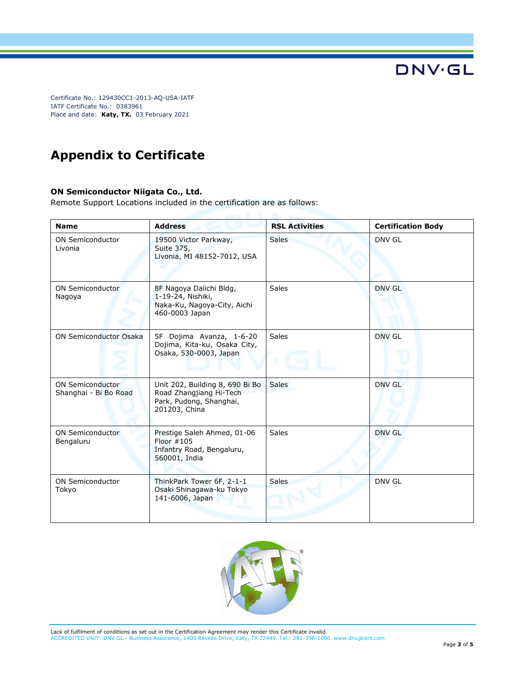## **Appendix to Certificate**

#### **ON Semiconductor Niigata Co., Ltd.**

Remote Support Locations included in the certification are as follows:

| <b>Name</b>                                      | <b>Address</b>                                                                                         | <b>RSL Activities</b> | <b>Certification Body</b> |
|--------------------------------------------------|--------------------------------------------------------------------------------------------------------|-----------------------|---------------------------|
| <b>ON Semiconductor</b><br>Livonia               | 19500 Victor Parkway,<br>Suite 375,<br>Livonia, MI 48152-7012, USA                                     | <b>Sales</b>          | DNV GL                    |
| ON Semiconductor<br>Nagoya                       | 8F Nagoya Daiichi Bldg,<br>1-19-24, Nishiki,<br>Naka-Ku, Nagoya-City, Aichi<br>460-0003 Japan          | Sales                 | DNV GL                    |
| <b>ON Semiconductor Osaka</b>                    | 5F Dojima Avanza, 1-6-20<br>Dojima, Kita-ku, Osaka City,<br>Osaka, 530-0003, Japan                     | Sales<br>頂            | DNV GL                    |
| <b>ON Semiconductor</b><br>Shanghai - Bi Bo Road | Unit 202, Building 8, 690 Bi Bo<br>Road Zhangjiang Hi-Tech<br>Park, Pudong, Shanghai,<br>201203, China | <b>Sales</b>          | <b>DNV GL</b>             |
| <b>ON Semiconductor</b><br>Bengaluru             | Prestige Saleh Ahmed, 01-06<br>Floor $#105$<br>Infantry Road, Bengaluru,<br>560001, India              | <b>Sales</b>          | <b>DNV GL</b>             |
| <b>ON Semiconductor</b><br>Tokyo                 | ThinkPark Tower 6F, 2-1-1<br>Osaki Shinagawa-ku Tokyo<br>141-6006, Japan                               | <b>Sales</b>          | DNV GL                    |



Lack of fulfilment of conditions as set out in the Certification Agreement may render this Certificate invalid. ACCREDITED UNIT: DNV GL - Business Assurance, 1400 Ravello Drive, Katy, TX 77449. Tel.: 281-396-1000. www.dnvglcert.com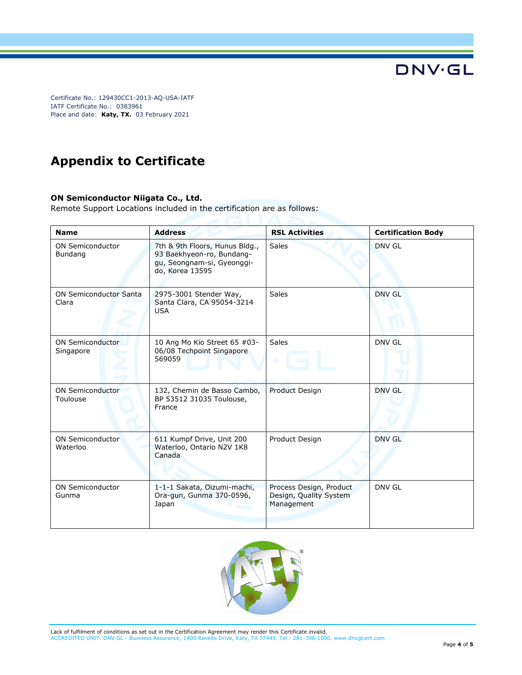## **Appendix to Certificate**

#### **ON Semiconductor Niigata Co., Ltd.**

Remote Support Locations included in the certification are as follows:

| <b>Name</b>                            | <b>Address</b>                                                                                               | <b>RSL Activities</b>                                           | <b>Certification Body</b> |
|----------------------------------------|--------------------------------------------------------------------------------------------------------------|-----------------------------------------------------------------|---------------------------|
| <b>ON Semiconductor</b><br>Bundang     | 7th & 9th Floors, Hunus Bldg.,<br>93 Baekhyeon-ro, Bundang-<br>gu, Seongnam-si, Gyeonggi-<br>do, Korea 13595 | <b>Sales</b>                                                    | <b>DNV GL</b>             |
| <b>ON Semiconductor Santa</b><br>Clara | 2975-3001 Stender Way,<br>Santa Clara, CA 95054-3214<br><b>USA</b>                                           | <b>Sales</b>                                                    | <b>DNV GL</b>             |
| <b>ON Semiconductor</b><br>Singapore   | 10 Ang Mo Kio Street 65 #03-<br>06/08 Techpoint Singapore<br>569059                                          | <b>Sales</b><br>圓                                               | DNV GL                    |
| <b>ON Semiconductor</b><br>Toulouse    | 132, Chemin de Basso Cambo,<br>BP 53512 31035 Toulouse,<br>France                                            | <b>Product Design</b>                                           | DNV GL                    |
| <b>ON Semiconductor</b><br>Waterloo    | 611 Kumpf Drive, Unit 200<br>Waterloo, Ontario N2V 1K8<br>Canada                                             | Product Design                                                  | DNV GL                    |
| <b>ON Semiconductor</b><br>Gunma       | 1-1-1 Sakata, Oizumi-machi,<br>Ora-gun, Gunma 370-0596,<br>Japan                                             | Process Design, Product<br>Design, Quality System<br>Management | DNV GL                    |